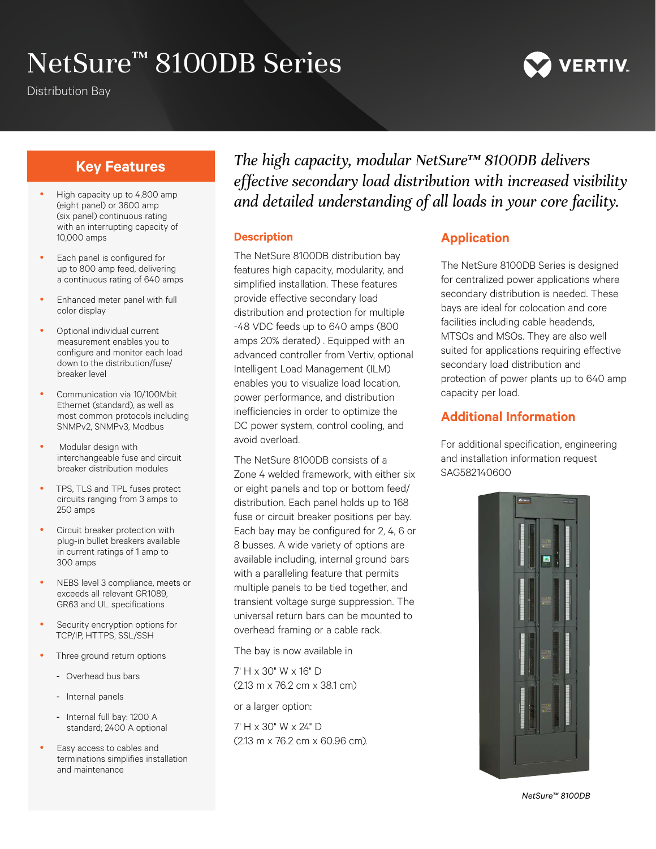# NetSure<sup>™</sup> 8100DB Series

Distribution Bay



# **Key Features**

- High capacity up to 4,800 amp (eight panel) or 3600 amp (six panel) continuous rating with an interrupting capacity of 10,000 amps
- Each panel is configured for up to 800 amp feed, delivering a continuous rating of 640 amps
- Enhanced meter panel with full color display
- Optional individual current measurement enables you to configure and monitor each load down to the distribution/fuse/ breaker level
- Communication via 10/100Mbit Ethernet (standard), as well as most common protocols including SNMPv2, SNMPv3, Modbus
- Modular design with interchangeable fuse and circuit breaker distribution modules
- TPS, TLS and TPL fuses protect circuits ranging from 3 amps to 250 amps
- Circuit breaker protection with plug-in bullet breakers available in current ratings of 1 amp to 300 amps
- NEBS level 3 compliance, meets or exceeds all relevant GR1089, GR63 and UL specifications
- Security encryption options for TCP/IP, HTTPS, SSL/SSH
- Three ground return options
	- Overhead bus bars
	- Internal panels
	- Internal full bay: 1200 A standard; 2400 A optional
- Easy access to cables and terminations simplifies installation and maintenance

*The high capacity, modular NetSure™ 8100DB delivers effective secondary load distribution with increased visibility and detailed understanding of all loads in your core facility.*

#### **Description**

The NetSure 8100DB distribution bay features high capacity, modularity, and simplified installation. These features provide effective secondary load distribution and protection for multiple -48 VDC feeds up to 640 amps (800 amps 20% derated) . Equipped with an advanced controller from Vertiv, optional Intelligent Load Management (ILM) enables you to visualize load location, power performance, and distribution inefficiencies in order to optimize the DC power system, control cooling, and avoid overload.

The NetSure 8100DB consists of a Zone 4 welded framework, with either six or eight panels and top or bottom feed/ distribution. Each panel holds up to 168 fuse or circuit breaker positions per bay. Each bay may be configured for 2, 4, 6 or 8 busses. A wide variety of options are available including, internal ground bars with a paralleling feature that permits multiple panels to be tied together, and transient voltage surge suppression. The universal return bars can be mounted to overhead framing or a cable rack.

The bay is now available in

7' H x 30" W x 16" D (2.13 m x 76.2 cm x 38.1 cm)

or a larger option:

7' H x 30" W x 24" D (2.13 m x 76.2 cm x 60.96 cm).

# **Application**

The NetSure 8100DB Series is designed for centralized power applications where secondary distribution is needed. These bays are ideal for colocation and core facilities including cable headends, MTSOs and MSOs. They are also well suited for applications requiring effective secondary load distribution and protection of power plants up to 640 amp capacity per load.

### **Additional Information**

For additional specification, engineering and installation information request SAG582140600